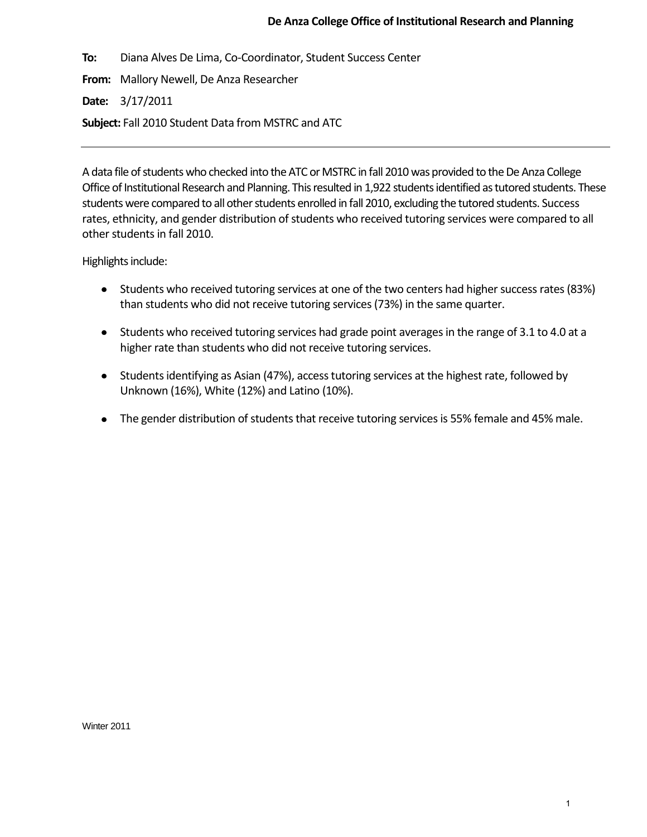# **De Anza College Office of Institutional Research and Planning**

**To:** Diana Alves De Lima, Co-Coordinator, Student Success Center

**From:** Mallory Newell, De Anza Researcher

**Date:** 3/17/2011

**Subject:** Fall 2010 Student Data from MSTRC and ATC

A data file of students who checked into the ATC or MSTRC in fall 2010 was provided to the De Anza College Office of Institutional Research and Planning. This resulted in 1,922 students identified as tutored students. These students were compared to all other students enrolled in fall 2010, excluding the tutored students. Success rates, ethnicity, and gender distribution of students who received tutoring services were compared to all other students in fall 2010.

Highlights include:

- Students who received tutoring services at one of the two centers had higher success rates (83%)  $\bullet$ than students who did not receive tutoring services (73%) in the same quarter.
- Students who received tutoring services had grade point averages in the range of 3.1 to 4.0 at a  $\bullet$ higher rate than students who did not receive tutoring services.
- $\bullet$ Students identifying as Asian (47%), access tutoring services at the highest rate, followed by Unknown (16%), White (12%) and Latino (10%).
- $\bullet$ The gender distribution of students that receive tutoring services is 55% female and 45% male.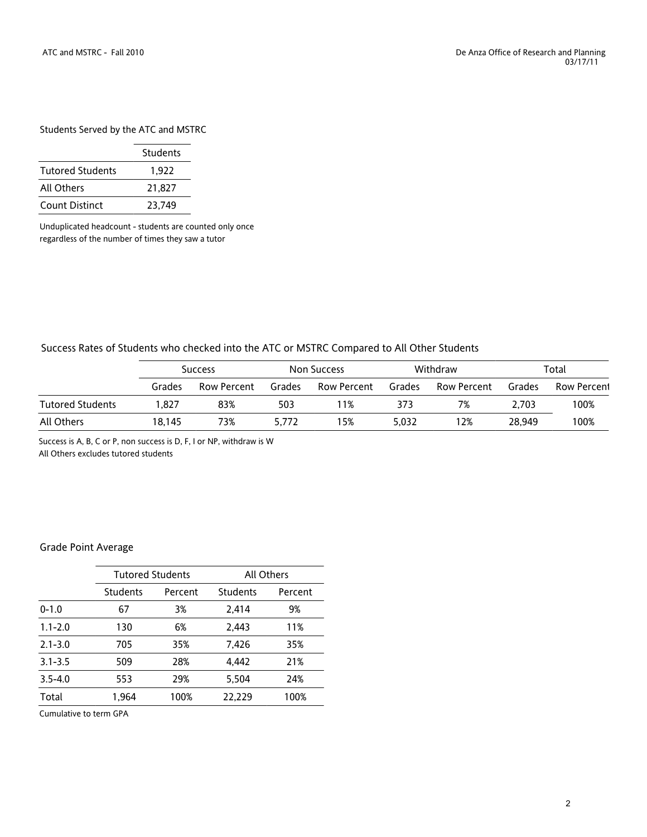## Students Served by the ATC and MSTRC

|                         | <b>Students</b> |
|-------------------------|-----------------|
| <b>Tutored Students</b> | 1.922           |
| All Others              | 21.827          |
| <b>Count Distinct</b>   | 23.749          |

Unduplicated headcount - students are counted only once regardless of the number of times they saw a tutor

### Success Rates of Students who checked into the ATC or MSTRC Compared to All Other Students

|                  | <b>Success</b> |             | Non Success |             | Withdraw |             | Total  |             |
|------------------|----------------|-------------|-------------|-------------|----------|-------------|--------|-------------|
|                  | Grades         | Row Percent | Grades      | Row Percent | Grades   | Row Percent | Grades | Row Percent |
| Tutored Students | 827. ا         | 83%         | 503         | 11%         | 373      | 7%          | 2.703  | 100%        |
| All Others       | 18.145         | 73%         | 5.772       | 15%         | 5.032    | 12%         | 28.949 | 100%        |

Success is A, B, C or P, non success is D, F, I or NP, withdraw is W All Others excludes tutored students

### Grade Point Average

|             | <b>Tutored Students</b> |         | <b>All Others</b> |         |  |
|-------------|-------------------------|---------|-------------------|---------|--|
|             | <b>Students</b>         | Percent | <b>Students</b>   | Percent |  |
| $0 - 1.0$   | 67                      | 3%      | 2,414             | 9%      |  |
| $1.1 - 2.0$ | 130                     | 6%      | 2.443             | 11%     |  |
| $2.1 - 3.0$ | 705                     | 35%     | 7,426             | 35%     |  |
| $3.1 - 3.5$ | 509                     | 28%     | 4.442             | 21%     |  |
| $3.5 - 4.0$ | 553                     | 29%     | 5,504             | 24%     |  |
| Total       | 1,964                   | 100%    | 22.229            | 100%    |  |
|             |                         |         |                   |         |  |

Cumulative to term GPA